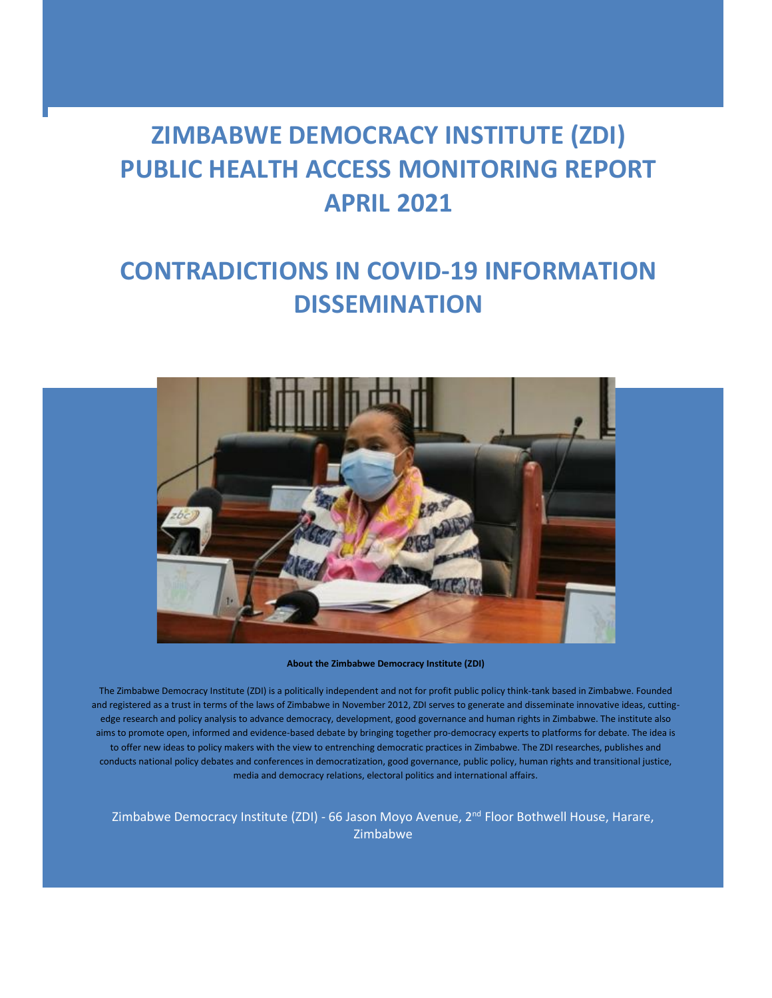# **ZIMBABWE DEMOCRACY INSTITUTE (ZDI) PUBLIC HEALTH ACCESS MONITORING REPORT APRIL 2021**

# **CONTRADICTIONS IN COVID-19 INFORMATION DISSEMINATION**



**About the Zimbabwe Democracy Institute (ZDI)**

The Zimbabwe Democracy Institute (ZDI) is a politically independent and not for profit public policy think-tank based in Zimbabwe. Founded and registered as a trust in terms of the laws of Zimbabwe in November 2012, ZDI serves to generate and disseminate innovative ideas, cuttingedge research and policy analysis to advance democracy, development, good governance and human rights in Zimbabwe. The institute also aims to promote open, informed and evidence-based debate by bringing together pro-democracy experts to platforms for debate. The idea is to offer new ideas to policy makers with the view to entrenching democratic practices in Zimbabwe. The ZDI researches, publishes and conducts national policy debates and conferences in democratization, good governance, public policy, human rights and transitional justice, media and democracy relations, electoral politics and international affairs.

Zimbabwe Democracy Institute (ZDI) - 66 Jason Moyo Avenue, 2<sup>nd</sup> Floor Bothwell House, Harare, Zimbabwe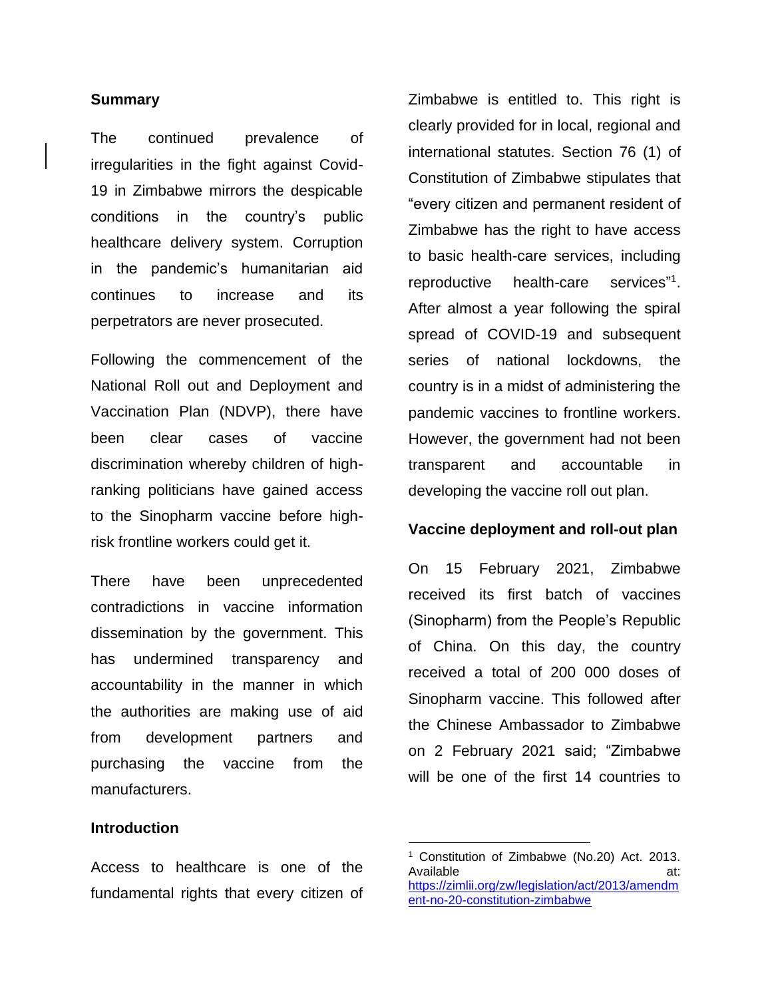### **Summary**

The continued prevalence of irregularities in the fight against Covid-19 in Zimbabwe mirrors the despicable conditions in the country's public healthcare delivery system. Corruption in the pandemic's humanitarian aid continues to increase and its perpetrators are never prosecuted.

Following the commencement of the National Roll out and Deployment and Vaccination Plan (NDVP), there have been clear cases of vaccine discrimination whereby children of highranking politicians have gained access to the Sinopharm vaccine before highrisk frontline workers could get it.

There have been unprecedented contradictions in vaccine information dissemination by the government. This has undermined transparency and accountability in the manner in which the authorities are making use of aid from development partners and purchasing the vaccine from the manufacturers.

## **Introduction**

Access to healthcare is one of the fundamental rights that every citizen of Zimbabwe is entitled to. This right is clearly provided for in local, regional and international statutes. Section 76 (1) of Constitution of Zimbabwe stipulates that "every citizen and permanent resident of Zimbabwe has the right to have access to basic health-care services, including reproductive health-care 1 . After almost a year following the spiral spread of COVID-19 and subsequent series of national lockdowns, the country is in a midst of administering the pandemic vaccines to frontline workers. However, the government had not been transparent and accountable in developing the vaccine roll out plan.

#### **Vaccine deployment and roll-out plan**

On 15 February 2021, Zimbabwe received its first batch of vaccines (Sinopharm) from the People's Republic of China. On this day, the country received a total of 200 000 doses of Sinopharm vaccine. This followed after the Chinese Ambassador to Zimbabwe on 2 February 2021 said; "Zimbabwe will be one of the first 14 countries to

<sup>1</sup> Constitution of Zimbabwe (No.20) Act. 2013. Available at: [https://zimlii.org/zw/legislation/act/2013/amendm](https://zimlii.org/zw/legislation/act/2013/amendment-no-20-constitution-zimbabwe) [ent-no-20-constitution-zimbabwe](https://zimlii.org/zw/legislation/act/2013/amendment-no-20-constitution-zimbabwe)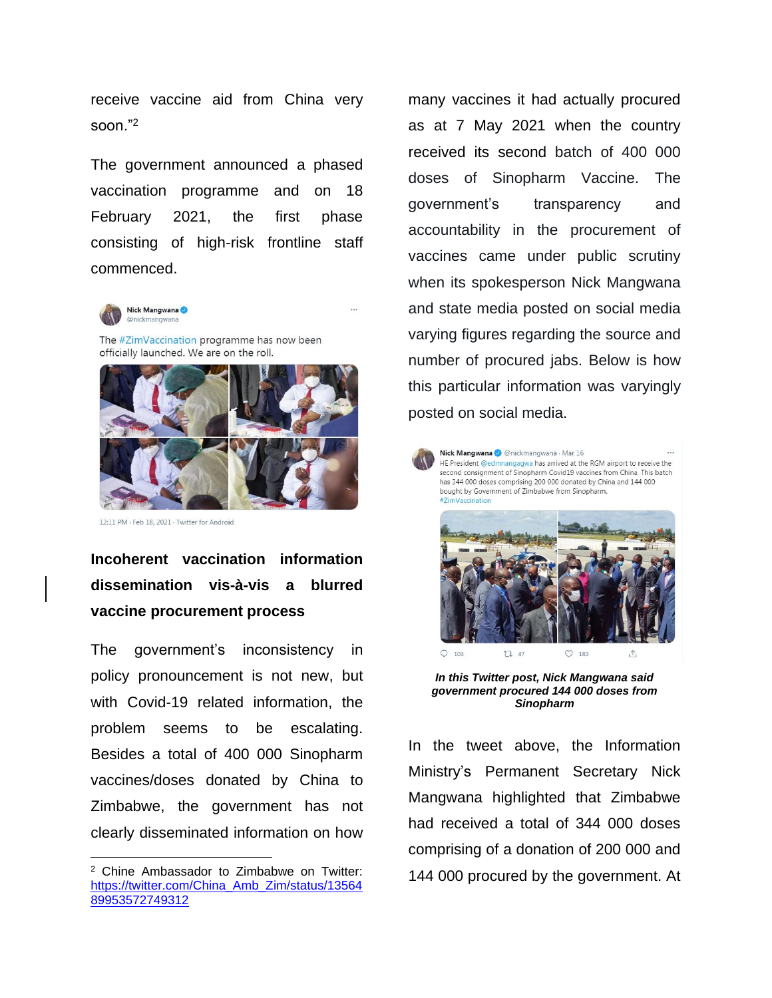receive vaccine aid from China very soon."<sup>2</sup>

The government announced a phased vaccination programme and on 18 February 2021, the first phase consisting of high-risk frontline staff commenced.



The #ZimVaccination programme has now been officially launched. We are on the roll.



12:11 PM - Feb 18, 2021 - Twitter for Android

**Incoherent vaccination information dissemination vis-à-vis a blurred vaccine procurement process**

The government's inconsistency in policy pronouncement is not new, but with Covid-19 related information, the problem seems to be escalating. Besides a total of 400 000 Sinopharm vaccines/doses donated by China to Zimbabwe, the government has not clearly disseminated information on how many vaccines it had actually procured as at 7 May 2021 when the country received its second batch of 400 000 doses of Sinopharm Vaccine. The government's transparency and accountability in the procurement of vaccines came under public scrutiny when its spokesperson Nick Mangwana and state media posted on social media varying figures regarding the source and number of procured jabs. Below is how this particular information was varyingly posted on social media.



Nick Mangwana @ @nickmangwana · Mar 16 HE President @edmnangagwa has arrived at the RGM airport to receive the second consignment of Sinopharm Covid19 vaccines from China. This batch has 344 000 doses comprising 200 000 donated by China and 144 000 bought by Government of Zimbabwe from Sinopharm.



*In this Twitter post, Nick Mangwana said government procured 144 000 doses from Sinopharm*

In the tweet above, the Information Ministry's Permanent Secretary Nick Mangwana highlighted that Zimbabwe had received a total of 344 000 doses comprising of a donation of 200 000 and 144 000 procured by the government. At

<sup>2</sup> Chine Ambassador to Zimbabwe on Twitter: [https://twitter.com/China\\_Amb\\_Zim/status/13564](https://twitter.com/China_Amb_Zim/status/1356489953572749312) [89953572749312](https://twitter.com/China_Amb_Zim/status/1356489953572749312)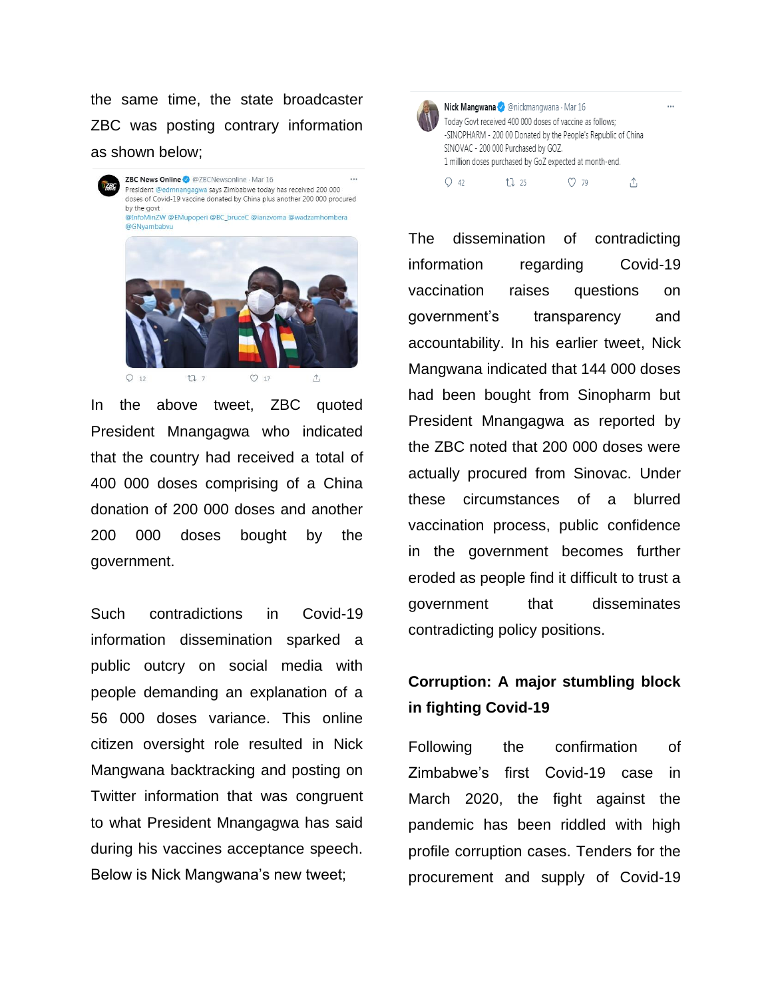the same time, the state broadcaster ZBC was posting contrary information as shown below;



 $1777$  $O_{17}$ 

In the above tweet, ZBC quoted President Mnangagwa who indicated that the country had received a total of 400 000 doses comprising of a China donation of 200 000 doses and another 200 000 doses bought by the government.

Such contradictions in Covid-19 information dissemination sparked a public outcry on social media with people demanding an explanation of a 56 000 doses variance. This online citizen oversight role resulted in Nick Mangwana backtracking and posting on Twitter information that was congruent to what President Mnangagwa has said during his vaccines acceptance speech. Below is Nick Mangwana's new tweet;



Nick Mangwana & @nickmangwana · Mar 16 Today Govt received 400 000 doses of vaccine as follows: -SINOPHARM - 200 00 Donated by the People's Republic of China SINOVAC - 200 000 Purchased by GOZ. 1 million doses purchased by GoZ expected at month-end.  $17225$  $O$  79  $O$  42 ↥

 $\cdots$ 

The dissemination of contradicting information regarding Covid-19 vaccination raises questions on government's transparency and accountability. In his earlier tweet, Nick Mangwana indicated that 144 000 doses had been bought from Sinopharm but President Mnangagwa as reported by the ZBC noted that 200 000 doses were actually procured from Sinovac. Under these circumstances of a blurred vaccination process, public confidence in the government becomes further eroded as people find it difficult to trust a government that disseminates contradicting policy positions.

## **Corruption: A major stumbling block in fighting Covid-19**

Following the confirmation of Zimbabwe's first Covid-19 case in March 2020, the fight against the pandemic has been riddled with high profile corruption cases. Tenders for the procurement and supply of Covid-19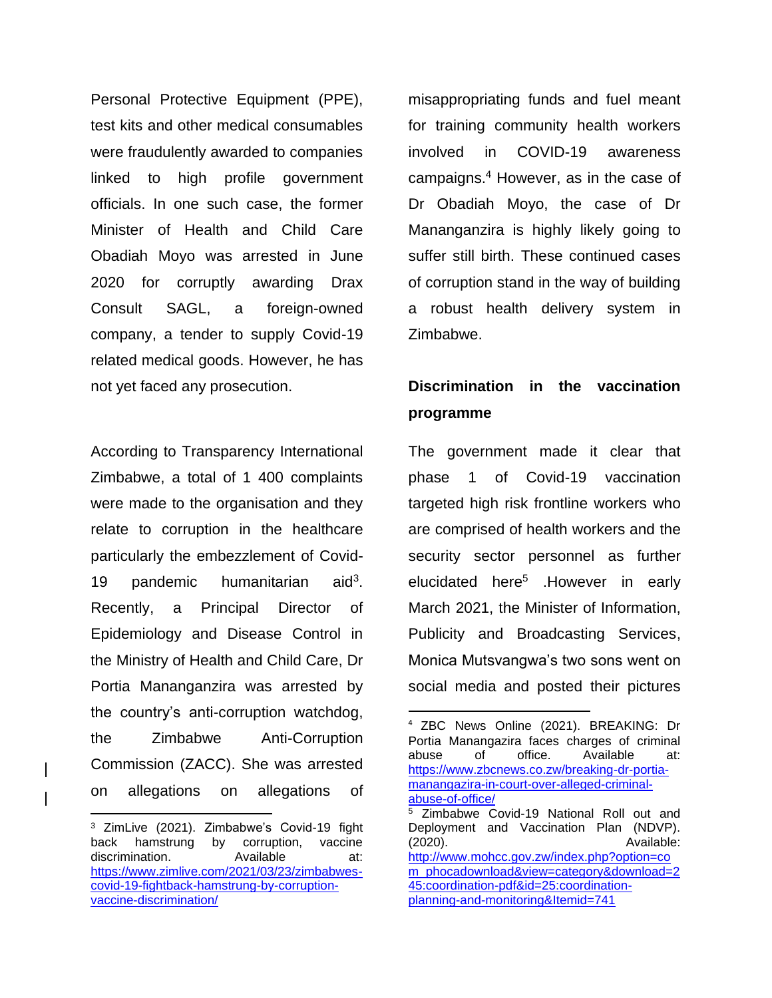Personal Protective Equipment (PPE), test kits and other medical consumables were fraudulently awarded to companies linked to high profile government officials. In one such case, the former Minister of Health and Child Care Obadiah Moyo was arrested in June 2020 for corruptly awarding Drax Consult SAGL, a foreign-owned company, a tender to supply Covid-19 related medical goods. However, he has not yet faced any prosecution.

According to Transparency International Zimbabwe, a total of 1 400 complaints were made to the organisation and they relate to corruption in the healthcare particularly the embezzlement of Covid-19 pandemic humanitarian  $aid<sup>3</sup>$ . Recently, a Principal Director of Epidemiology and Disease Control in the Ministry of Health and Child Care, Dr Portia Mananganzira was arrested by the country's anti-corruption watchdog, the Zimbabwe Anti-Corruption Commission (ZACC). She was arrested on allegations on allegations of misappropriating funds and fuel meant for training community health workers involved in COVID-19 awareness campaigns. <sup>4</sup> However, as in the case of Dr Obadiah Moyo, the case of Dr Mananganzira is highly likely going to suffer still birth. These continued cases of corruption stand in the way of building a robust health delivery system in Zimbabwe.

# **Discrimination in the vaccination programme**

The government made it clear that phase 1 of Covid-19 vaccination targeted high risk frontline workers who are comprised of health workers and the security sector personnel as further elucidated here<sup>5</sup> .However in early March 2021, the Minister of Information, Publicity and Broadcasting Services, Monica Mutsvangwa's two sons went on social media and posted their pictures

<sup>3</sup> ZimLive (2021). Zimbabwe's Covid-19 fight back hamstrung by corruption, vaccine discrimination. Available at: [https://www.zimlive.com/2021/03/23/zimbabwes](https://www.zimlive.com/2021/03/23/zimbabwes-covid-19-fightback-hamstrung-by-corruption-vaccine-discrimination/)[covid-19-fightback-hamstrung-by-corruption](https://www.zimlive.com/2021/03/23/zimbabwes-covid-19-fightback-hamstrung-by-corruption-vaccine-discrimination/)[vaccine-discrimination/](https://www.zimlive.com/2021/03/23/zimbabwes-covid-19-fightback-hamstrung-by-corruption-vaccine-discrimination/)

<sup>4</sup> ZBC News Online (2021). BREAKING: Dr Portia Manangazira faces charges of criminal abuse of office. Available at: [https://www.zbcnews.co.zw/breaking-dr-portia](https://www.zbcnews.co.zw/breaking-dr-portia-manangazira-in-court-over-alleged-criminal-abuse-of-office/)[manangazira-in-court-over-alleged-criminal](https://www.zbcnews.co.zw/breaking-dr-portia-manangazira-in-court-over-alleged-criminal-abuse-of-office/)[abuse-of-office/](https://www.zbcnews.co.zw/breaking-dr-portia-manangazira-in-court-over-alleged-criminal-abuse-of-office/) <sup>5</sup> Zimbabwe Covid-19 National Roll out and Deployment and Vaccination Plan (NDVP). (2020). Available: [http://www.mohcc.gov.zw/index.php?option=co](http://www.mohcc.gov.zw/index.php?option=com_phocadownload&view=category&download=245:coordination-pdf&id=25:coordination-planning-and-monitoring&Itemid=741) [m\\_phocadownload&view=category&download=2](http://www.mohcc.gov.zw/index.php?option=com_phocadownload&view=category&download=245:coordination-pdf&id=25:coordination-planning-and-monitoring&Itemid=741) [45:coordination-pdf&id=25:coordination](http://www.mohcc.gov.zw/index.php?option=com_phocadownload&view=category&download=245:coordination-pdf&id=25:coordination-planning-and-monitoring&Itemid=741)[planning-and-monitoring&Itemid=741](http://www.mohcc.gov.zw/index.php?option=com_phocadownload&view=category&download=245:coordination-pdf&id=25:coordination-planning-and-monitoring&Itemid=741)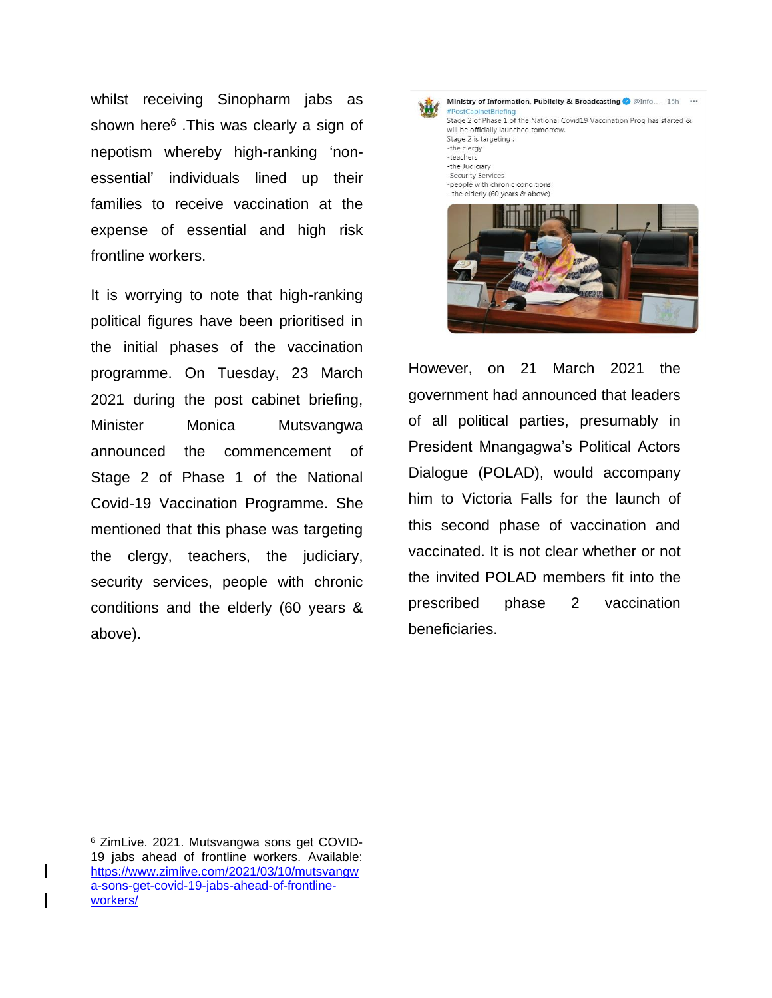whilst receiving Sinopharm jabs as shown here<sup>6</sup>. This was clearly a sign of nepotism whereby high-ranking 'nonessential' individuals lined up their families to receive vaccination at the expense of essential and high risk frontline workers.

It is worrying to note that high-ranking political figures have been prioritised in the initial phases of the vaccination programme. On Tuesday, 23 March 2021 during the post cabinet briefing, Minister Monica Mutsvangwa announced the commencement of Stage 2 of Phase 1 of the National Covid-19 Vaccination Programme. She mentioned that this phase was targeting the clergy, teachers, the judiciary, security services, people with chronic conditions and the elderly (60 years & above).

Ministry of Information, Publicity & Broadcasting @ @Info... . 15h ... #PostCabinetBriefine Stage 2 of Phase 1 of the National Covid19 Vaccination Prog has started & will be officially launched tomorrow. Stage 2 is targeting : -the clergy -teachers -the Judiciary -Security Services -people with chronic conditions - the elderly (60 years & above)

However, on 21 March 2021 the government had announced that leaders of all political parties, presumably in President Mnangagwa's Political Actors Dialogue (POLAD), would accompany him to Victoria Falls for the launch of this second phase of vaccination and vaccinated. It is not clear whether or not the invited POLAD members fit into the prescribed phase 2 vaccination beneficiaries.

<sup>6</sup> ZimLive. 2021. Mutsvangwa sons get COVID-19 jabs ahead of frontline workers. Available: [https://www.zimlive.com/2021/03/10/mutsvangw](https://www.zimlive.com/2021/03/10/mutsvangwa-sons-get-covid-19-jabs-ahead-of-frontline-workers/) [a-sons-get-covid-19-jabs-ahead-of-frontline](https://www.zimlive.com/2021/03/10/mutsvangwa-sons-get-covid-19-jabs-ahead-of-frontline-workers/)[workers/](https://www.zimlive.com/2021/03/10/mutsvangwa-sons-get-covid-19-jabs-ahead-of-frontline-workers/)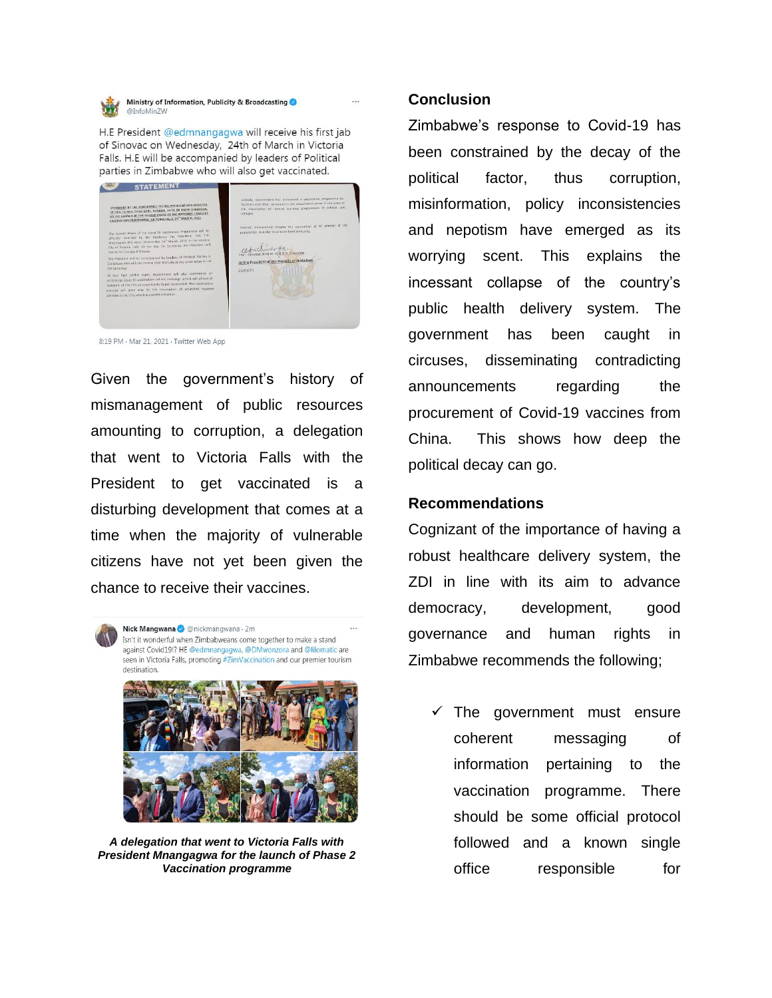Ministry of Information, Publicity & Broadcasting @InfoMinZW

H.E President @edmnangagwa will receive his first jab of Sinovac on Wednesday, 24th of March in Victoria Falls. H.E will be accompanied by leaders of Political parties in Zimbabwe who will also get vaccinated.



8:19 PM · Mar 21, 2021 · Twitter Web App

Given the government's history of mismanagement of public resources amounting to corruption, a delegation that went to Victoria Falls with the President to get vaccinated is a disturbing development that comes at a time when the majority of vulnerable citizens have not yet been given the chance to receive their vaccines.

Nick Mangwana @ @nickmangwana . 2m Isn't it wonderful when Zimbabweans come together to make a stand against Covid19!? HE @edmnangagwa, @DMwonzora and @lilomatic are seen in Victoria Falls, promoting #ZimVaccination and our premier tourism destination



*A delegation that went to Victoria Falls with President Mnangagwa for the launch of Phase 2 Vaccination programme*

### **Conclusion**

Zimbabwe's response to Covid-19 has been constrained by the decay of the political factor, thus corruption, misinformation, policy inconsistencies and nepotism have emerged as its worrying scent. This explains the incessant collapse of the country's public health delivery system. The government has been caught in circuses, disseminating contradicting announcements regarding the procurement of Covid-19 vaccines from China. This shows how deep the political decay can go.

#### **Recommendations**

Cognizant of the importance of having a robust healthcare delivery system, the ZDI in line with its aim to advance democracy, development, good governance and human rights in Zimbabwe recommends the following;

 $\checkmark$  The government must ensure coherent messaging of information pertaining to the vaccination programme. There should be some official protocol followed and a known single office responsible for